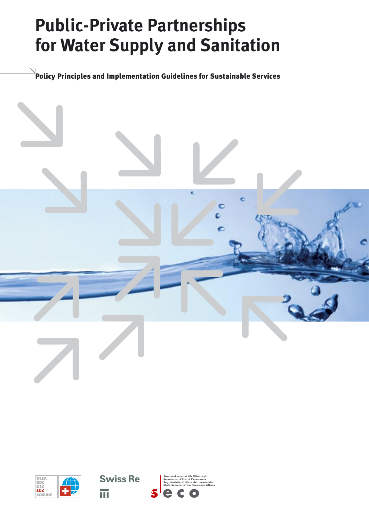# **Public-Private Partnerships for Water Supply and Sanitation**

 $\stackrel{\text{{\sf l}}}{\text{{\sf d}}}$ Policy Principles and Implementation Guidelines for Sustainable Services







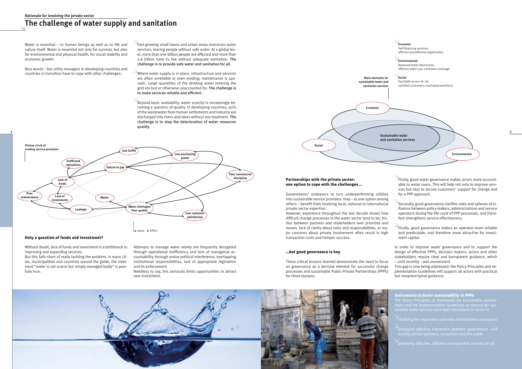### **Rationale for involving the private sector**

### **The challenge of water supply and sanitation**

### Only a question of funds and investment?

 $\rightarrow$ Firstly, good water governance makes actors more accountable to water users. This will help not only to improve services but also to secure customers' support for change and for a PPP approach.

Without doubt, lack of funds and investment is a bottleneck to improving and expanding services.

 $\le$ Secondly, good governance clarifies roles and spheres of influence between policy makers, administrations and service operators during the life-cycle of PPP processes, and therefore strengthens service effectiveness.

 $\rightarrow$ Finally, good governance makes an operator more reliable and predictable, and therefore more attractive for investment capital.

But this falls short of really tackling the problem. In many cities, municipalities and countries around the globe, the statement "water is not scarce but simply managed badly" is painfully true.

### Partnerships with the private sector: one option to cope with the challenges...

Governments' endeavors to turn underperforming utilities into sustainable service providers may – as one option among others – benefit from involving local, national or international private sector expertise.

However, experience throughout the last decade shows how difficult change processes in the water sector tend to be: friction between partners and stakeholders over priorities and means, lack of clarity about roles and responsibilities, or major concerns about private involvement often result in high transaction costs and hamper success.

| Water is essential - to human beings as well as to life and<br>nature itself. Water is essential not only for survival, but also<br>for environmental and physical health, for social stability and<br>economic growth.<br>Nice words - but utility managers in developing countries and<br>countries in transition have to cope with other challenges: | Fast-growing small towns and urban areas overstrain water<br>services, leaving people without safe water. At a global lev-<br>el, more than one billion people are affected and more than<br>2.6 billion have to live without adequate sanitation. The<br>challenge is to provide safe water and sanitation for all.<br>$\checkmark$ Where water supply is in place, infrastructure and services<br>are often unreliable or even eroding; maintenance is spo-<br>radic. Large quantities of the drinking water entering the<br>grid are lost or otherwise unaccounted for. The challenge is<br>to make services reliable and efficient.<br>$^{\circ}$ Beyond basic availability, water scarcity is increasingly be-<br>coming a question of quality. In developing countries, 90% | Main elements for<br>sustainable water and<br>sanitation services<br>Economic | <b>Economi</b><br>Self-financing services,<br>efficient and effective organization<br>Environmental<br>Balanced water abstraction.<br>efficient water use, sanitation coverage<br>Social<br>Equitable access for all.<br>satisfied consumers, motivated workforce |  |
|---------------------------------------------------------------------------------------------------------------------------------------------------------------------------------------------------------------------------------------------------------------------------------------------------------------------------------------------------------|-----------------------------------------------------------------------------------------------------------------------------------------------------------------------------------------------------------------------------------------------------------------------------------------------------------------------------------------------------------------------------------------------------------------------------------------------------------------------------------------------------------------------------------------------------------------------------------------------------------------------------------------------------------------------------------------------------------------------------------------------------------------------------------|-------------------------------------------------------------------------------|-------------------------------------------------------------------------------------------------------------------------------------------------------------------------------------------------------------------------------------------------------------------|--|
| Vicious circle of<br>eroding service provision<br>Low tariffs<br>Inefficient<br>operations<br>Failure to pay                                                                                                                                                                                                                                            | of the wastewater from human settlements and industry are<br>discharged into rivers and lakes without any treatment. The<br>challenge is to stop the deterioration of water resources<br>quality.<br>Low purchasing<br>power                                                                                                                                                                                                                                                                                                                                                                                                                                                                                                                                                      | Social                                                                        | Sustainable water<br>and sanitation services<br>Environmental                                                                                                                                                                                                     |  |

### …but good governance is key

These critical lessons learned demonstrate the need to focus on governance as a decisive element for successful change processes and sustainable Public-Private Partnerships (PPPs) for three reasons:



In order to improve water governance and to support the design of effective PPPs, decision makers, actors and other stakeholders require clear and transparent guidance, which – until recently – was nonexistent.

This gap is now being addressed: the Policy Principles and Implementation Guidelines will support all actors with practical but nonprescriptive guidance.

*Instruments to foster sustainability in PPPs The Policy Principles as framework for sustainable partnerclarifying the importance and roles of institutions and actors arranging effective interaction between government, civil* 



Attempts to manage water wisely are frequently derogated through operational inefficiency and lack of managerial accountability, through undue political interference, overlapping institutional responsibilities, lack of appropriate legislation and its enforcement.

Needless to say, this seriously limits opportunities to attract new investment.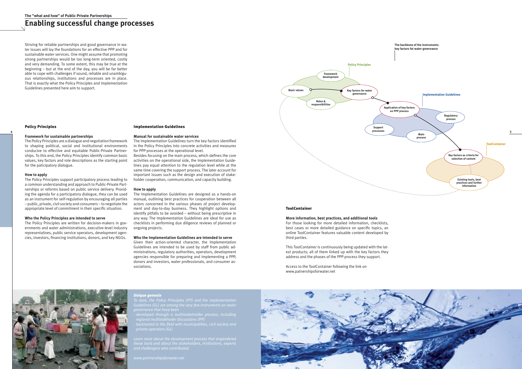### **The "what and how" of Public-Private Partnerships**

## **Enabling successful change processes**

Striving for reliable partnerships and good governance in water issues will lay the foundations for an effective PPP and for sustainable water services. One might assume that promoting strong partnerships would be too long-term oriented, costly and very demanding. To some extent, this may be true at the beginning – but at the end of the day, you will be far better able to cope with challenges if sound, reliable and unambiguous relationships, institutions and processes are in place. That is exactly what the Policy Principles and Implementation Guidelines presented here aim to support.

### Policy Principles

### **Framework for sustainable partnerships**

The Policy Principles are a dialogue and negotiation framework to shaping political, social and institutional environments conducive to effective and equitable Public-Private Partnerships. To this end, the Policy Principles identify common basic values, key factors and role descriptions as the starting point for the paticipatory dialogue.

### **How to apply**

The Policy Principles support participatory process leading to a common understanding and approach to Public-Private Partnerships or reforms based on public service delivery. Providing the agenda for a participatory dialogue, they can be used as an instrument for self-regulation by encouraging all parties – public, private, civil society and consumers – to negotiate the appropriate level of commitment in their specific situation.

### **Who the Policy Principles are intended to serve**

The Policy Principles are written for decision-makers in governments and water administrations, executive-level industry representatives, public service operators, development agencies, investors, financing institutions, donors, and key NGOs.

### Implementation Guidelines

### **Manual for sustainable water services**

The Implementation Guidelines turn the key factors identified in the Policy Principles into concrete activities and measures for PPP processes at the operational level.

Besides focusing on the main process, which defines the core activities on the operational side, the Implementation Guidelines pay equal attention to the regulation level while at the same time covering the support process. The later account for important issues such as the design and execution of stakeholder cooperation, communication, and capacity building.



### **How to apply**

The Implementation Guidelines are designed as a hands-on manual, outlining best practices for cooperation between all actors concerned in the various phases of project development and day-to-day business. They highlight options and identify pitfalls to be avoided – without being prescriptive in any way. The Implementation Guidelines are ideal for use as checklists in performing due diligence reviews of planned or ongoing projects.

### **Who the Implementation Guidelines are intended to serve**

Given their action-oriented character, the Implementation Guidelines are intended to be used by staff from public administrations, regulatory authorities, operators, development agencies responsible for preparing and implementing a PPP, donors and investors, water professionals, and consumer associations.

### ToolContainer

### **More information, best practices, and additional tools**

For those looking for more detailed information, checklists, best cases or more detailed guidance on specific topics, an online ToolContainer features valuable content developed by third parties.

This ToolContainer is continuously being updated with the latest products; all of them linked up with the key factors they address and the phases of the PPP process they support.

Access to the ToolContainer following the link on www.patnershipsforwater.net



#### *Unique genesis*

*private operators (GL)*

*and challengers who contributed.*

*www.partnershipsforwater.net*

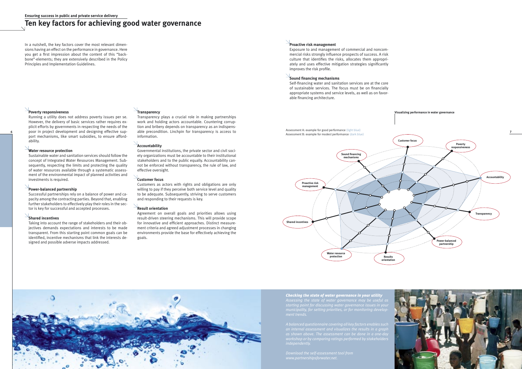# **Ten key factors for achieving good water governance**

*Checking the state of water governance in your utility Assessing the state of water governance may be useful as* 



 Sustainable water and sanitation services should follow the concept of Integrated Water Resources Management. Subsequently, respecting the limits and protecting the quality of water resources available through a systematic assessment of the environmental impact of planned activities and investments is required.

### **Poverty responsiveness**

 Running a utility does not address poverty issues per se. However, the delivery of basic services rather requires explicit efforts by governments in respecting the needs of the port mechanisms, like smart subsidies, to ensure affordability.

### **Water resource protection**

### **Power-balanced partnership**

 Successful partnerships rely on a balance of power and capacity among the contracting parties. Beyond that, enabling further stakeholders to effectively play their roles in the sector is key for successful and accepted processes.

### **Shared incentives**





 Taking into account the range of stakeholders and their objectives demands expectations and interests to be made transparent. From this starting point common goals can be identified, incentive mechanisms that link the interests designed and possible adverse impacts addressed.

### **Transparency**

 Transparency plays a crucial role in making partnerships work and holding actors accountable. Countering corruption and bribery depends on transparency as an indispensable precondition. Linchpin for transparency is access to information.

### **Accountability**

 Governmental institutions, the private sector and civil society organizations must be accountable to their institutional stakeholders and to the public equally. Accountability cannot be enforced without transparency, the rule of law, and effective oversight.

### **Customer focus**

 Customers as actors with rights and obligations are only willing to pay if they perceive both service level and quality to be adequate. Subsequently, striving to serve customers and responding to their requests is key.

### **Result orientation**

 Agreement on overall goals and priorities allows using result-driven steering mechanisms. This will provide scope for innovative and efficient approaches. Distinct measurement criteria and agreed adjustment processes in changing environments provide the base for effectively achieving the goals.

**Visualizing performance in water governance**

**Proactive risk management** 

 Exposure to and management of commercial and noncommercial risks strongly influence prospects of success. A risk culture that identifies the risks, allocates them appropriately and uses effective mitigation strategies significantly improves the risk profile.

### **Sound financing mechanisms**

 Self-financing water and sanitation services are at the core of sustainable services. The focus must be on financially appropriate systems and service levels, as well as on favorable financing architecture.

In a nutshell, the key factors cover the most relevant dimensions having an effect on the performance in governance. Here you get a first impression about the content of this "backbone"-elements; they are extensively described in the Policy Principles and Implementation Guidelines.